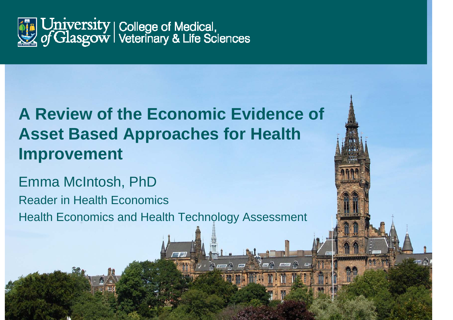

### **A Review of the Economic Evidence of Asset Based Approaches for Health Improvement**

Emma McIntosh, PhD Reader in Health Economics Health Economics and Health Technology Assessment

**TUTHI** 

 $\sqrt{H}$ 

 $\pi$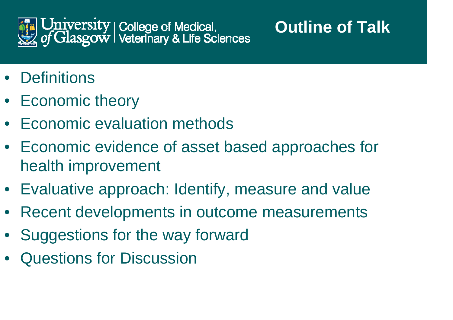

# **Outline of Talk**

- Definitions
- Economic theory
- Economic evaluation methods
- Economic evidence of asset based approaches for health improvement
- Evaluative approach: Identify, measure and value
- Recent developments in outcome measurements
- $\bullet$ Suggestions for the way forward
- Questions for Discussion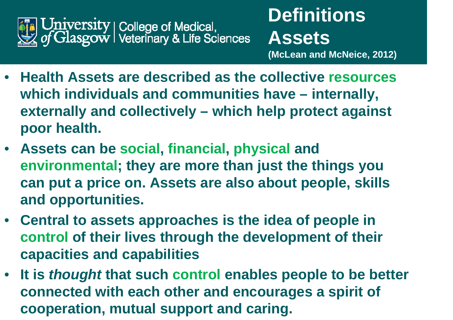

- • **Health Assets are described as the collective resourceswhich individuals and communities have – internally, externally and collectively – which help protect against poor health.**
- **Assets can be social, financial, physical and environmental; they are more than just the things you can put a price on. Assets are also about people, skills and opportunities.**
- **Central to assets approaches is the idea of people in control of their lives through the development of their capacities and capabilities**
- **It is** *thought* **that such control enables people to be better connected with each other and encourages a spirit of cooperation, mutual support and caring.**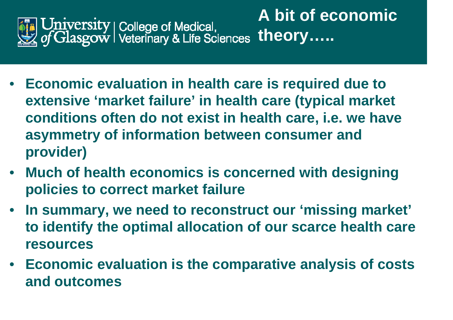

- **Economic evaluation in health care is required due to extensive 'market failure' in health care (typical market conditions often do not exist in health care, i.e. we have asymmetry of information between consumer and provider)**
- **Much of health economics is concerned with designing policies to correct market failure**
- **In summary, we need to reconstruct our 'missing market' to identify the optimal allocation of our scarce health care resources**
- **Economic evaluation is the comparative analysis of costs and outcomes**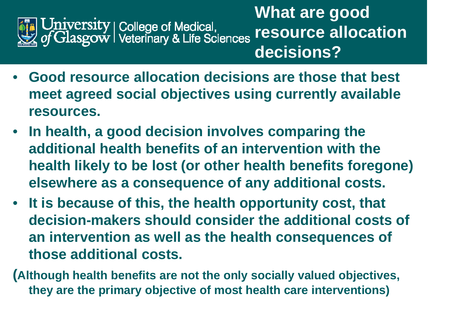

**What are good resource allocation decisions?** 

- • **Good resource allocation decisions are those that best meet agreed social objectives using currently available resources.**
- $\bullet$  **In health, a good decision involves comparing the additional health benefits of an intervention with the health likely to be lost (or other health benefits foregone) elsewhere as a consequence of any additional costs.**
- **It is because of this, the health opportunity cost, that decision-makers should consider the additional costs of an intervention as well as the health consequences of those additional costs.**
- **(Although health benefits are not the only socially valued objectives, they are the primary objective of most health care interventions)**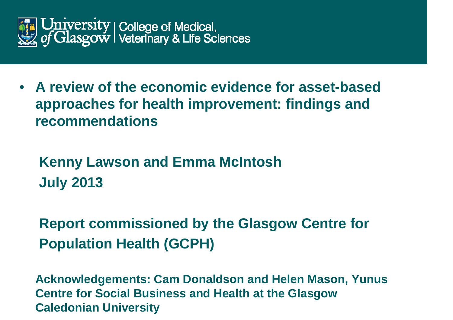

• **A review of the economic evidence for asset-based approaches for health improvement: findings and recommendations** 

 **Kenny Lawson and Emma McIntosh July 2013** 

 **Report commissioned by the Glasgow Centre for Population Health (GCPH)** 

 **Acknowledgements: Cam Donaldson and Helen Mason, Yunus Centre for Social Business and Health at the Glasgow Caledonian University**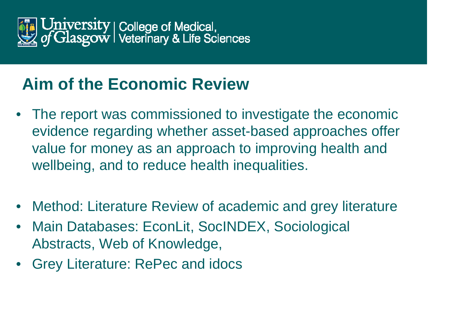

#### **Aim of the Economic Review**

- The report was commissioned to investigate the economic evidence regarding whether asset-based approaches offer value for money as an approach to improving health and wellbeing, and to reduce health inequalities.
- Method: Literature Review of academic and grey literature
- • Main Databases: EconLit, SocINDEX, Sociological Abstracts, Web of Knowledge,
- Grey Literature: RePec and idocs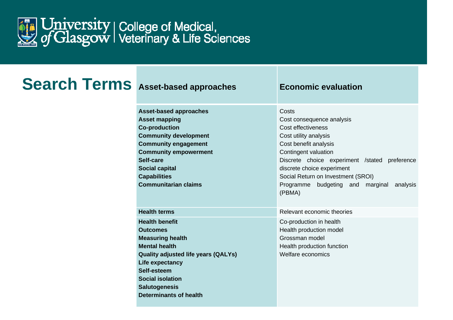

#### **Search Terms** Asset-based approaches **Economic evaluation**

**Asset-based approaches Asset mapping Co-production Community development Community engagement Community empowerment Self-care Social capital Capabilities Communitarian claims** 

**Health terms Relevant economic theories Health benefit Outcomes Measuring health Mental health Quality adjusted life years (QALYs) Life expectancy Self-esteem Social isolation Salutogenesis Determinants of health** 

#### **Costs**

Cost consequence analysis Cost effectiveness Cost utility analysis Cost benefit analysis Contingent valuation Discrete choice experiment /stated preference discrete choice experiment Social Return on Investment (SROI) Programme budgeting and marginal analysis (PBMA)

Co-production in health Health production model Grossman model Health production function Welfare economics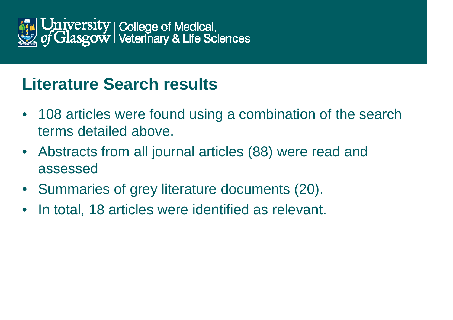

#### **Literature Search results**

- $\bullet$  108 articles were found using a combination of the search terms detailed above.
- $\bullet$  Abstracts from all journal articles (88) were read and assessed
- $\bullet$ Summaries of grey literature documents (20).
- $\bullet$ In total, 18 articles were identified as relevant.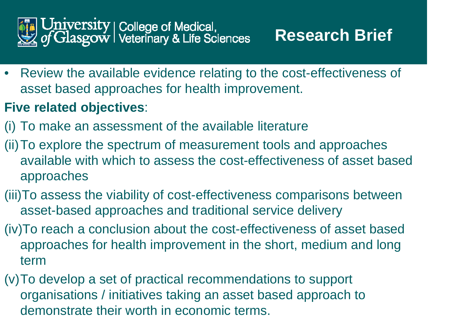

• Review the available evidence relating to the cost-effectiveness of asset based approaches for health improvement.

#### **Five related objectives**:

- (i) To make an assessment of the available literature
- (ii)To explore the spectrum of measurement tools and approaches available with which to assess the cost-effectiveness of asset based approaches
- (iii)To assess the viability of cost-effectiveness comparisons between asset-based approaches and traditional service delivery
- (iv)To reach a conclusion about the cost-effectiveness of asset based approaches for health improvement in the short, medium and long term
- (v)To develop a set of practical recommendations to support organisations / initiatives taking an asset based approach to demonstrate their worth in economic terms.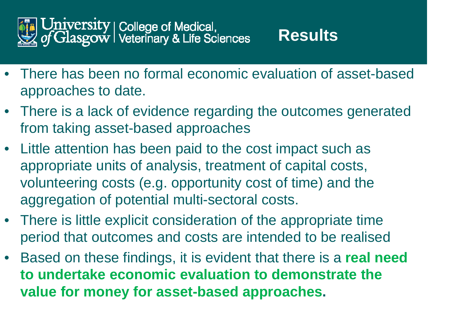

- There has been no formal economic evaluation of asset-based approaches to date.
- There is a lack of evidence regarding the outcomes generated from taking asset-based approaches
- Little attention has been paid to the cost impact such as appropriate units of analysis, treatment of capital costs, volunteering costs (e.g. opportunity cost of time) and the aggregation of potential multi-sectoral costs.
- There is little explicit consideration of the appropriate time period that outcomes and costs are intended to be realised
- $\bullet$  Based on these findings, it is evident that there is a **real need to undertake economic evaluation to demonstrate the value for money for asset-based approaches.**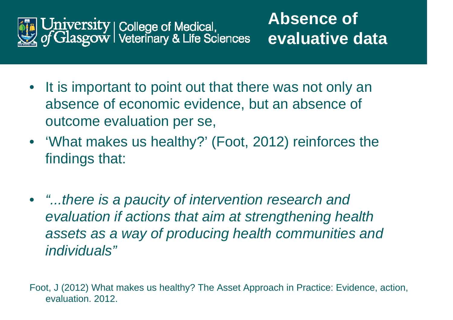

- It is important to point out that there was not only an absence of economic evidence, but an absence of outcome evaluation per se,
- 'What makes us healthy?' (Foot, 2012) reinforces the findings that:
- *"...there is a paucity of intervention research and evaluation if actions that aim at strengthening health assets as a way of producing health communities and individuals"*

Foot, J (2012) What makes us healthy? The Asset Approach in Practice: Evidence, action, evaluation. 2012.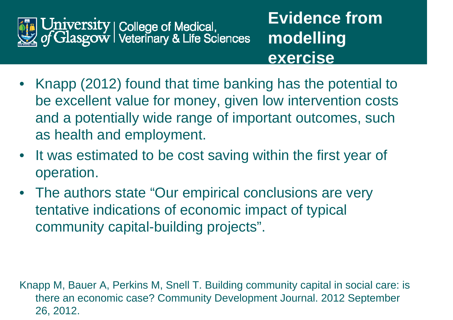

- **Evidence from modelling exercise**
- Knapp (2012) found that time banking has the potential to be excellent value for money, given low intervention costs and a potentially wide range of important outcomes, such as health and employment.
- It was estimated to be cost saving within the first year of operation.
- The authors state "Our empirical conclusions are very tentative indications of economic impact of typical community capital-building projects".

Knapp M, Bauer A, Perkins M, Snell T. Building community capital in social care: is there an economic case? Community Development Journal. 2012 September 26, 2012.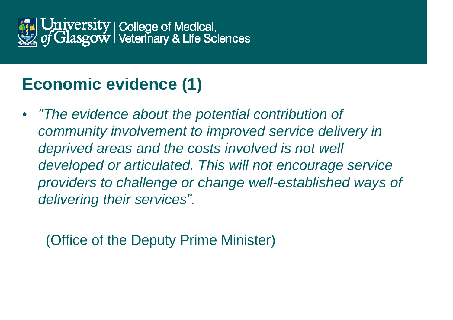

# **Economic evidence (1)**

• *"The evidence about the potential contribution of community involvement to improved service delivery in deprived areas and the costs involved is not well developed or articulated. This will not encourage service providers to challenge or change well-established ways of delivering their services".*

(Office of the Deputy Prime Minister)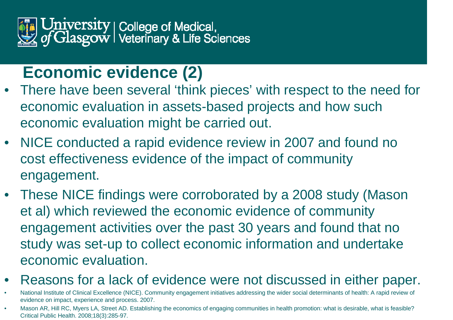

#### **Economic evidence (2)**

- There have been several 'think pieces' with respect to the need for economic evaluation in assets-based projects and how such economic evaluation might be carried out.
- NICE conducted a rapid evidence review in 2007 and found no cost effectiveness evidence of the impact of community engagement.
- These NICE findings were corroborated by a 2008 study (Mason et al) which reviewed the economic evidence of community engagement activities over the past 30 years and found that no study was set-up to collect economic information and undertake economic evaluation.
- •Reasons for a lack of evidence were not discussed in either paper.
- • National Institute of Clinical Excellence (NICE). Community engagement initiatives addressing the wider social determinants of health: A rapid review of evidence on impact, experience and process. 2007.
- • Mason AR, Hill RC, Myers LA, Street AD. Establishing the economics of engaging communities in health promotion: what is desirable, what is feasible? Critical Public Health. 2008;18(3):285-97.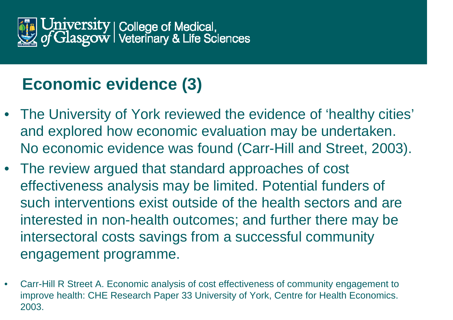

## **Economic evidence (3)**

- The University of York reviewed the evidence of 'healthy cities' and explored how economic evaluation may be undertaken. No economic evidence was found (Carr-Hill and Street, 2003).
- The review argued that standard approaches of cost effectiveness analysis may be limited. Potential funders of such interventions exist outside of the health sectors and are interested in non-health outcomes; and further there may be intersectoral costs savings from a successful community engagement programme.
- • Carr-Hill R Street A. Economic analysis of cost effectiveness of community engagement to improve health: CHE Research Paper 33 University of York, Centre for Health Economics. 2003.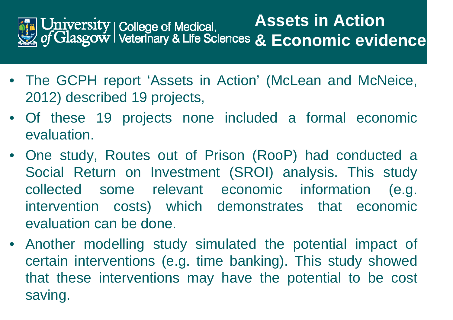

- The GCPH report 'Assets in Action' (McLean and McNeice, 2012) described 19 projects,
- Of these 19 projects none included a formal economic evaluation.
- One study, Routes out of Prison (RooP) had conducted a Social Return on Investment (SROI) analysis. This study collected some relevant economic information (e.g. intervention costs) which demonstrates that economic evaluation can be done.
- Another modelling study simulated the potential impact of certain interventions (e.g. time banking). This study showed that these interventions may have the potential to be cost saving.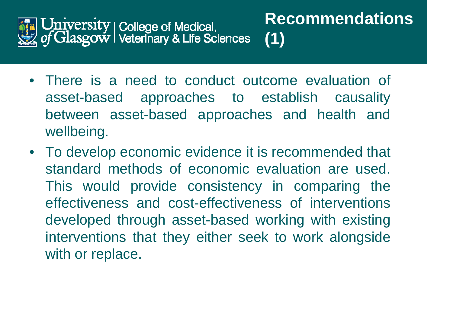

- There is a need to conduct outcome evaluation of asset-based approaches to establish causality between asset-based approaches and health and wellbeing.
- To develop economic evidence it is recommended that standard methods of economic evaluation are used. This would provide consistency in comparing the effectiveness and cost-effectiveness of interventions developed through asset-based working with existing interventions that they either seek to work alongside with or replace.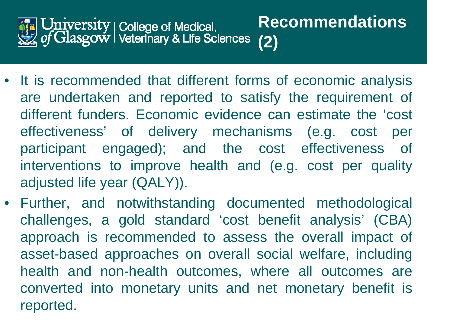

- **Recommendations (2)**
- It is recommended that different forms of economic analysis are undertaken and reported to satisfy the requirement of different funders. Economic evidence can estimate the 'cost effectiveness' of delivery mechanisms (e.g. cost per participant engaged); and the cost effectiveness of interventions to improve health and (e.g. cost per quality adjusted life year (QALY)).
- Further, and notwithstanding documented methodological challenges, a gold standard 'cost benefit analysis' (CBA) approach is recommended to assess the overall impact of asset-based approaches on overall social welfare, including health and non-health outcomes, where all outcomes are converted into monetary units and net monetary benefit is reported.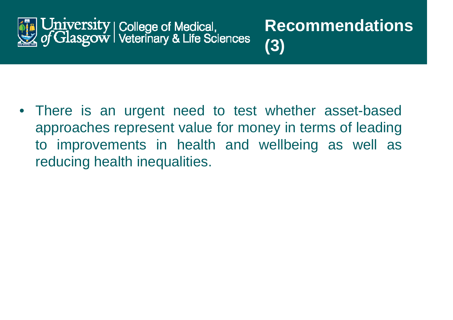

• There is an urgent need to test whether asset-based approaches represent value for money in terms of leading to improvements in health and wellbeing as well as reducing health inequalities.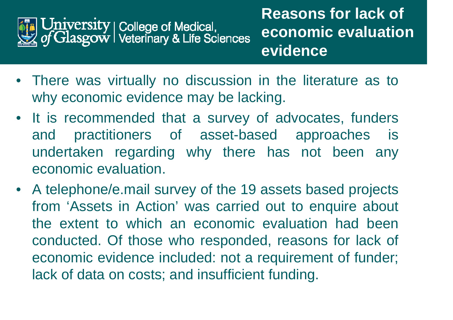

- There was virtually no discussion in the literature as to why economic evidence may be lacking.
- It is recommended that a survey of advocates, funders and practitioners of asset-based approaches is undertaken regarding why there has not been any economic evaluation.
- A telephone/e.mail survey of the 19 assets based projects from 'Assets in Action' was carried out to enquire about the extent to which an economic evaluation had been conducted. Of those who responded, reasons for lack of economic evidence included: not a requirement of funder; lack of data on costs; and insufficient funding.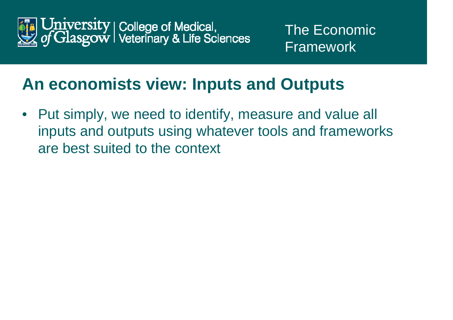

#### **An economists view: Inputs and Outputs**

 $\bullet$  Put simply, we need to identify, measure and value all inputs and outputs using whatever tools and frameworks are best suited to the context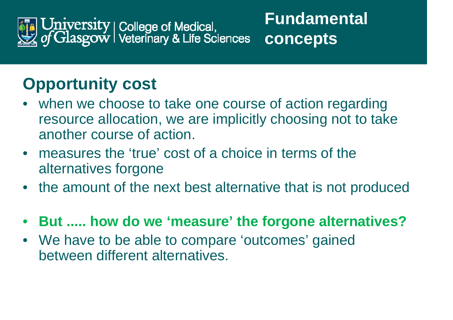

# **Opportunity cost**

- when we choose to take one course of action regarding resource allocation, we are implicitly choosing not to take another course of action.
- $\bullet$  measures the 'true' cost of a choice in terms of the alternatives forgone
- $\bullet$ the amount of the next best alternative that is not produced
- $\bullet$ **But ..... how do we 'measure' the forgone alternatives?**
- $\bullet$  We have to be able to compare 'outcomes' gained between different alternatives.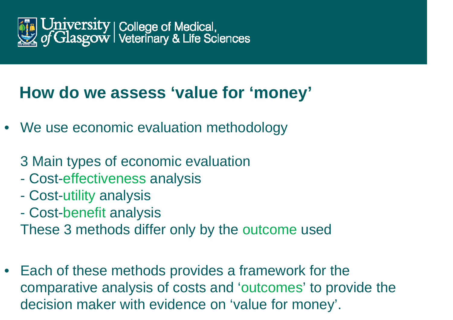

#### **How do we assess 'value for 'money'**

- We use economic evaluation methodology
	- 3 Main types of economic evaluation
	- Cost-effectiveness analysis
	- Cost-utility analysis
	- Cost-benefit analysis

These 3 methods differ only by the outcome used

• Each of these methods provides a framework for the comparative analysis of costs and 'outcomes' to provide the decision maker with evidence on 'value for money'.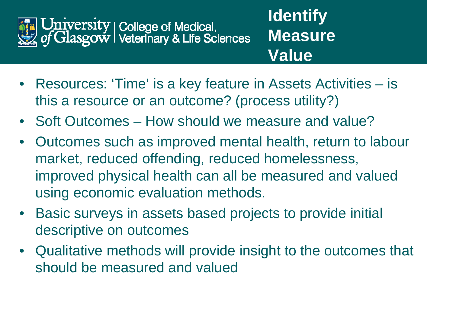

- **Identify Measure Value**
- Resources: 'Time' is a key feature in Assets Activities is this a resource or an outcome? (process utility?)
- Soft Outcomes How should we measure and value?
- $\bullet$  Outcomes such as improved mental health, return to labour market, reduced offending, reduced homelessness, improved physical health can all be measured and valued using economic evaluation methods.
- $\bullet$  Basic surveys in assets based projects to provide initial descriptive on outcomes
- $\bullet$  Qualitative methods will provide insight to the outcomes that should be measured and valued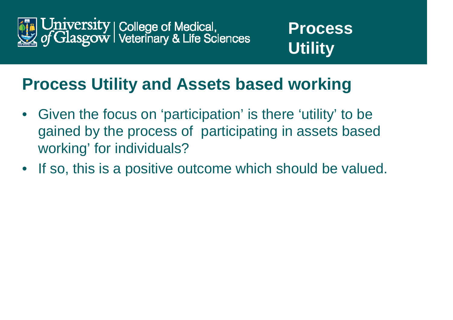



#### **Process Utility and Assets based working**

- $\bullet$  Given the focus on 'participation' is there 'utility' to be gained by the process of participating in assets based working' for individuals?
- If so, this is a positive outcome which should be valued.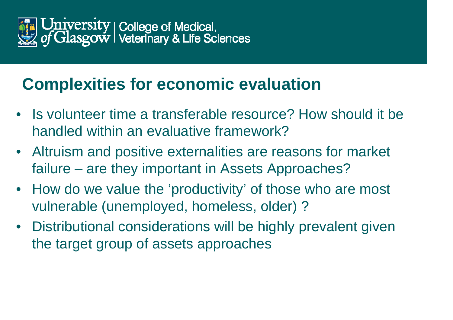

#### **Complexities for economic evaluation**

- Is volunteer time a transferable resource? How should it be handled within an evaluative framework?
- Altruism and positive externalities are reasons for market failure – are they important in Assets Approaches?
- How do we value the 'productivity' of those who are most vulnerable (unemployed, homeless, older) ?
- Distributional considerations will be highly prevalent given the target group of assets approaches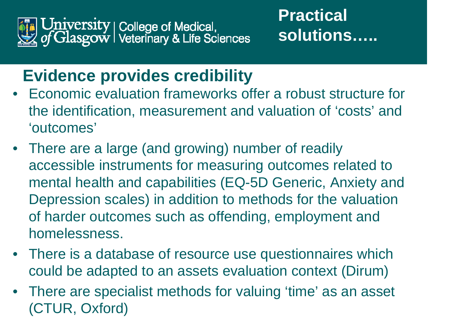

#### **Practical solutions…..**

#### **Evidence provides credibility**

- Economic evaluation frameworks offer a robust structure for the identification, measurement and valuation of 'costs' and 'outcomes'
- There are a large (and growing) number of readily accessible instruments for measuring outcomes related to mental health and capabilities (EQ-5D Generic, Anxiety and Depression scales) in addition to methods for the valuation of harder outcomes such as offending, employment and homelessness.
- There is a database of resource use questionnaires which could be adapted to an assets evaluation context (Dirum)
- There are specialist methods for valuing 'time' as an asset (CTUR, Oxford)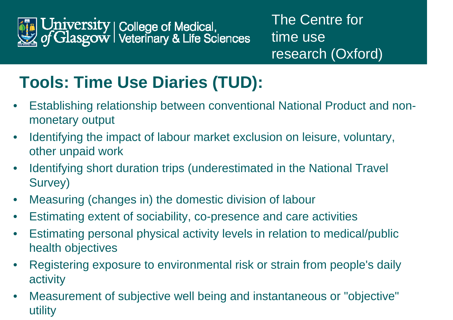

# **Tools: Time Use Diaries (TUD):**

- $\bullet$  Establishing relationship between conventional National Product and nonmonetary output
- $\bullet$  Identifying the impact of labour market exclusion on leisure, voluntary, other unpaid work
- $\bullet$  Identifying short duration trips (underestimated in the National Travel Survey)
- $\bullet$ Measuring (changes in) the domestic division of labour
- $\bullet$ Estimating extent of sociability, co-presence and care activities
- $\bullet$  Estimating personal physical activity levels in relation to medical/public health objectives
- $\bullet$  Registering exposure to environmental risk or strain from people's daily activity
- $\bullet$  Measurement of subjective well being and instantaneous or "objective" utility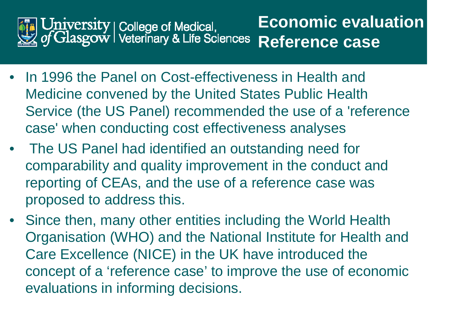

- In 1996 the Panel on Cost-effectiveness in Health and Medicine convened by the United States Public Health Service (the US Panel) recommended the use of a 'reference case' when conducting cost effectiveness analyses
- The US Panel had identified an outstanding need for comparability and quality improvement in the conduct and reporting of CEAs, and the use of a reference case was proposed to address this.
- Since then, many other entities including the World Health Organisation (WHO) and the National Institute for Health and Care Excellence (NICE) in the UK have introduced the concept of a 'reference case' to improve the use of economic evaluations in informing decisions.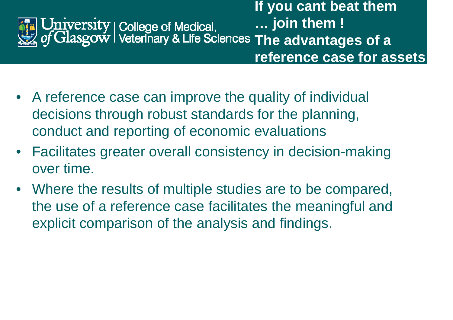**If you cant beat them … join them ! The advantages of a reference case for assets** 

- A reference case can improve the quality of individual decisions through robust standards for the planning, conduct and reporting of economic evaluations
- Facilitates greater overall consistency in decision-making over time.
- Where the results of multiple studies are to be compared, the use of a reference case facilitates the meaningful and explicit comparison of the analysis and findings.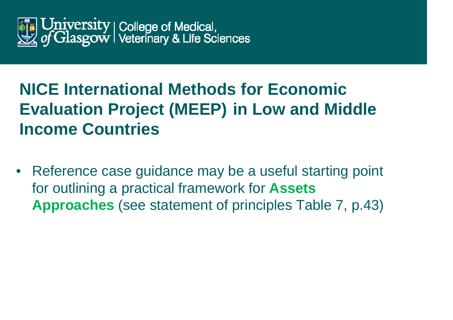

# **NICE International Methods for Economic Evaluation Project (MEEP) in Low and Middle Income Countries**

• Reference case guidance may be a useful starting point for outlining a practical framework for **Assets Approaches** (see statement of principles Table 7, p.43)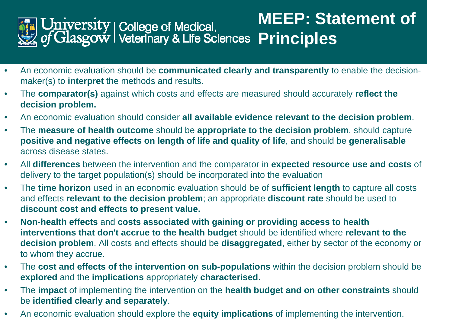

- • An economic evaluation should be **communicated clearly and transparently** to enable the decisionmaker(s) to **interpret** the methods and results.
- $\bullet$  The **comparator(s)** against which costs and effects are measured should accurately **reflect the decision problem.**
- $\bullet$ An economic evaluation should consider **all available evidence relevant to the decision problem**.
- • The **measure of health outcome** should be **appropriate to the decision problem**, should capture **positive and negative effects on length of life and quality of life**, and should be **generalisable**  across disease states.
- $\bullet$  All **differences** between the intervention and the comparator in **expected resource use and costs** of delivery to the target population(s) should be incorporated into the evaluation
- • The **time horizon** used in an economic evaluation should be of **sufficient length** to capture all costs and effects **relevant to the decision problem**; an appropriate **discount rate** should be used to **discount cost and effects to present value.**
- • **Non-health effects** and **costs associated with gaining or providing access to health interventions that don't accrue to the health budget** should be identified where **relevant to the decision problem**. All costs and effects should be **disaggregated**, either by sector of the economy or to whom they accrue.
- $\bullet$  The **cost and effects of the intervention on sub-populations** within the decision problem should be **explored** and the **implications** appropriately **characterised**.
- $\bullet$  The **impact** of implementing the intervention on the **health budget and on other constraints** should be **identified clearly and separately**.
- $\bullet$ An economic evaluation should explore the **equity implications** of implementing the intervention.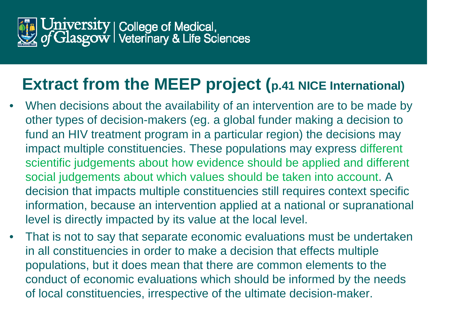

#### **Extract from the MEEP project (p.41 NICE International)**

- • When decisions about the availability of an intervention are to be made by other types of decision-makers (eg. a global funder making a decision to fund an HIV treatment program in a particular region) the decisions may impact multiple constituencies. These populations may express different scientific judgements about how evidence should be applied and different social judgements about which values should be taken into account. A decision that impacts multiple constituencies still requires context specific information, because an intervention applied at a national or supranational level is directly impacted by its value at the local level.
- • That is not to say that separate economic evaluations must be undertaken in all constituencies in order to make a decision that effects multiple populations, but it does mean that there are common elements to the conduct of economic evaluations which should be informed by the needs of local constituencies, irrespective of the ultimate decision-maker.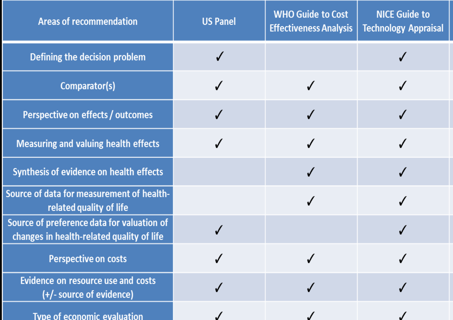| <b>Areas of recommendation</b>                                                          | <b>US Panel</b> | <b>WHO Guide to Cost</b><br><b>Effectiveness Analysis</b> | <b>NICE Guide to</b><br><b>Technology Appraisal</b> |
|-----------------------------------------------------------------------------------------|-----------------|-----------------------------------------------------------|-----------------------------------------------------|
| Defining the decision problem                                                           |                 |                                                           |                                                     |
| Comparator(s)                                                                           |                 |                                                           |                                                     |
| Perspective on effects / outcomes                                                       |                 |                                                           |                                                     |
| <b>Measuring and valuing health effects</b>                                             |                 |                                                           |                                                     |
| Synthesis of evidence on health effects                                                 |                 |                                                           |                                                     |
| Source of data for measurement of health-<br>related quality of life                    |                 |                                                           |                                                     |
| Source of preference data for valuation of<br>changes in health-related quality of life |                 |                                                           |                                                     |
| <b>Perspective on costs</b>                                                             |                 |                                                           |                                                     |
| Evidence on resource use and costs<br>(+/- source of evidence)                          |                 |                                                           |                                                     |
| <b>Type of economic evaluation</b>                                                      |                 |                                                           |                                                     |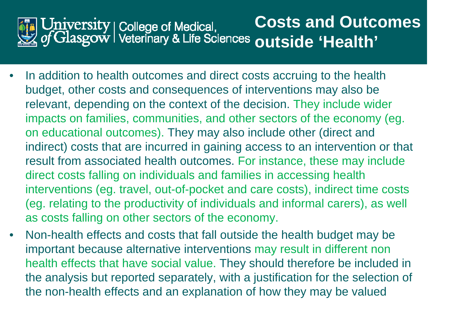

- • In addition to health outcomes and direct costs accruing to the health budget, other costs and consequences of interventions may also be relevant, depending on the context of the decision. They include wider impacts on families, communities, and other sectors of the economy (eg. on educational outcomes). They may also include other (direct and indirect) costs that are incurred in gaining access to an intervention or that result from associated health outcomes. For instance, these may include direct costs falling on individuals and families in accessing health interventions (eg. travel, out-of-pocket and care costs), indirect time costs (eg. relating to the productivity of individuals and informal carers), as well as costs falling on other sectors of the economy.
- • Non-health effects and costs that fall outside the health budget may be important because alternative interventions may result in different non health effects that have social value. They should therefore be included in the analysis but reported separately, with a justification for the selection of the non-health effects and an explanation of how they may be valued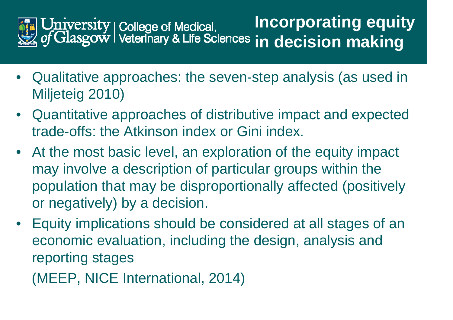

- Qualitative approaches: the seven-step analysis (as used in Miljeteig 2010)
- Quantitative approaches of distributive impact and expected trade-offs: the Atkinson index or Gini index.
- At the most basic level, an exploration of the equity impact may involve a description of particular groups within the population that may be disproportionally affected (positively or negatively) by a decision.
- Equity implications should be considered at all stages of an economic evaluation, including the design, analysis and reporting stages

(MEEP, NICE International, 2014)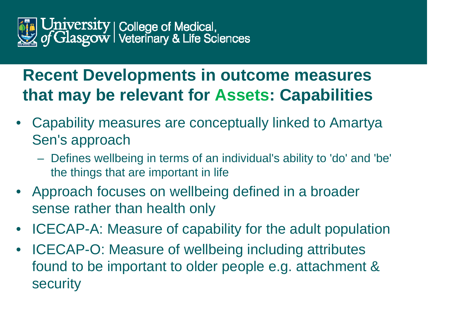

#### **Recent Developments in outcome measures that may be relevant for Assets: Capabilities**

- Capability measures are conceptually linked to Amartya Sen's approach
	- $\mathcal{L}_{\mathcal{A}}$  , the state of the state of the state of the state of the state of the state of the state of the state of the state of the state of the state of the state of the state of the state of the state of the state Defines wellbeing in terms of an individual's ability to 'do' and 'be' the things that are important in life
- Approach focuses on wellbeing defined in a broader sense rather than health only
- ICECAP-A: Measure of capability for the adult population
- ICECAP-O: Measure of wellbeing including attributes found to be important to older people e.g. attachment & security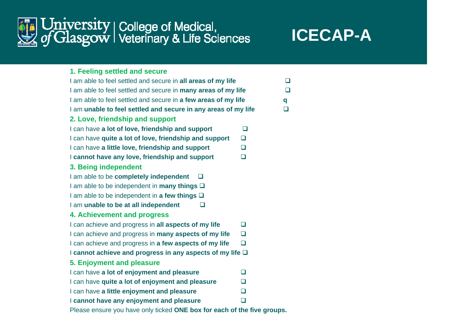

#### **ICECAP-A**

| 1. Feeling settled and secure |  |  |  |  |  |  |
|-------------------------------|--|--|--|--|--|--|
|-------------------------------|--|--|--|--|--|--|

| I am able to feel settled and secure in all areas of my life      |        | $\Box$ |
|-------------------------------------------------------------------|--------|--------|
| I am able to feel settled and secure in many areas of my life     |        |        |
| I am able to feel settled and secure in a few areas of my life    |        | q      |
| I am unable to feel settled and secure in any areas of my life    |        | $\Box$ |
| 2. Love, friendship and support                                   |        |        |
| I can have a lot of love, friendship and support                  | $\Box$ |        |
| I can have quite a lot of love, friendship and support            | □      |        |
| I can have a little love, friendship and support                  | $\Box$ |        |
| I cannot have any love, friendship and support                    | $\Box$ |        |
| 3. Being independent                                              |        |        |
| I am able to be completely independent<br>┚                       |        |        |
| I am able to be independent in <b>many things</b> $\Box$          |        |        |
| I am able to be independent in a few things $\Box$                |        |        |
| I am unable to be at all independent<br>$\sqcup$                  |        |        |
| 4. Achievement and progress                                       |        |        |
| I can achieve and progress in all aspects of my life              | П      |        |
| I can achieve and progress in <b>many aspects of my life</b>      | $\Box$ |        |
| I can achieve and progress in a few aspects of my life            | $\Box$ |        |
| I cannot achieve and progress in any aspects of my life $\square$ |        |        |
| 5. Enjoyment and pleasure                                         |        |        |
| I can have a lot of enjoyment and pleasure                        | $\Box$ |        |
| I can have quite a lot of enjoyment and pleasure                  | $\Box$ |        |
| I can have a little enjoyment and pleasure                        | $\Box$ |        |
| I cannot have any enjoyment and pleasure                          | ◻      |        |
|                                                                   |        |        |

Please ensure you have only ticked **ONE box for each of the five groups.**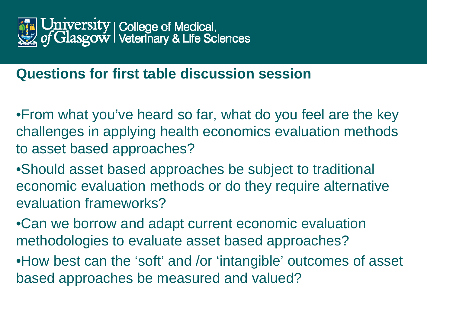

#### **Questions for first table discussion session**

•From what you've heard so far, what do you feel are the key challenges in applying health economics evaluation methods to asset based approaches?

•Should asset based approaches be subject to traditional economic evaluation methods or do they require alternative evaluation frameworks?

•Can we borrow and adapt current economic evaluation methodologies to evaluate asset based approaches?

•How best can the 'soft' and /or 'intangible' outcomes of asset based approaches be measured and valued?